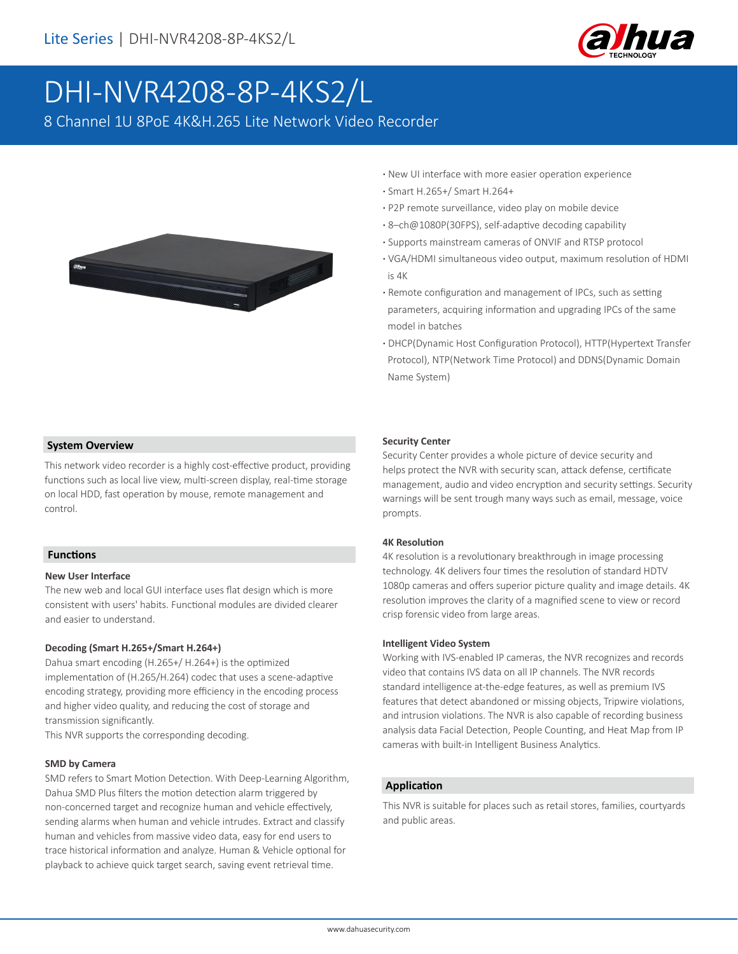

# DHI-NVR4208-8P-4KS2/L

8 Channel 1U 8PoE 4K&H.265 Lite Network Video Recorder



- **·** New UI interface with more easier operation experience
- **·** Smart H.265+/ Smart H.264+
- **·** P2P remote surveillance, video play on mobile device
- **·** 8–ch@1080P(30FPS), self-adaptive decoding capability
- **·** Supports mainstream cameras of ONVIF and RTSP protocol
- **·** VGA/HDMI simultaneous video output, maximum resolution of HDMI is 4K
- **·** Remote configuration and management of IPCs, such as setting parameters, acquiring information and upgrading IPCs of the same model in batches
- **·** DHCP(Dynamic Host Configuration Protocol), HTTP(Hypertext Transfer Protocol), NTP(Network Time Protocol) and DDNS(Dynamic Domain Name System)

#### **System Overview**

This network video recorder is a highly cost-effective product, providing functions such as local live view, multi-screen display, real-time storage on local HDD, fast operation by mouse, remote management and control.

#### **Functions**

#### **New User Interface**

The new web and local GUI interface uses flat design which is more consistent with users' habits. Functional modules are divided clearer and easier to understand.

#### **Decoding (Smart H.265+/Smart H.264+)**

Dahua smart encoding (H.265+/ H.264+) is the optimized implementation of (H.265/H.264) codec that uses a scene-adaptive encoding strategy, providing more efficiency in the encoding process and higher video quality, and reducing the cost of storage and transmission significantly.

This NVR supports the corresponding decoding.

#### **SMD by Camera**

SMD refers to Smart Motion Detection. With Deep-Learning Algorithm, Dahua SMD Plus filters the motion detection alarm triggered by non-concerned target and recognize human and vehicle effectively, sending alarms when human and vehicle intrudes. Extract and classify human and vehicles from massive video data, easy for end users to trace historical information and analyze. Human & Vehicle optional for playback to achieve quick target search, saving event retrieval time.

#### **Security Center**

Security Center provides a whole picture of device security and helps protect the NVR with security scan, attack defense, certificate management, audio and video encryption and security settings. Security warnings will be sent trough many ways such as email, message, voice prompts.

#### **4K Resolution**

4K resolution is a revolutionary breakthrough in image processing technology. 4K delivers four times the resolution of standard HDTV 1080p cameras and offers superior picture quality and image details. 4K resolution improves the clarity of a magnified scene to view or record crisp forensic video from large areas.

#### **Intelligent Video System**

Working with IVS-enabled IP cameras, the NVR recognizes and records video that contains IVS data on all IP channels. The NVR records standard intelligence at-the-edge features, as well as premium IVS features that detect abandoned or missing objects, Tripwire violations, and intrusion violations. The NVR is also capable of recording business analysis data Facial Detection, People Counting, and Heat Map from IP cameras with built-in Intelligent Business Analytics.

#### **Application**

This NVR is suitable for places such as retail stores, families, courtyards and public areas.